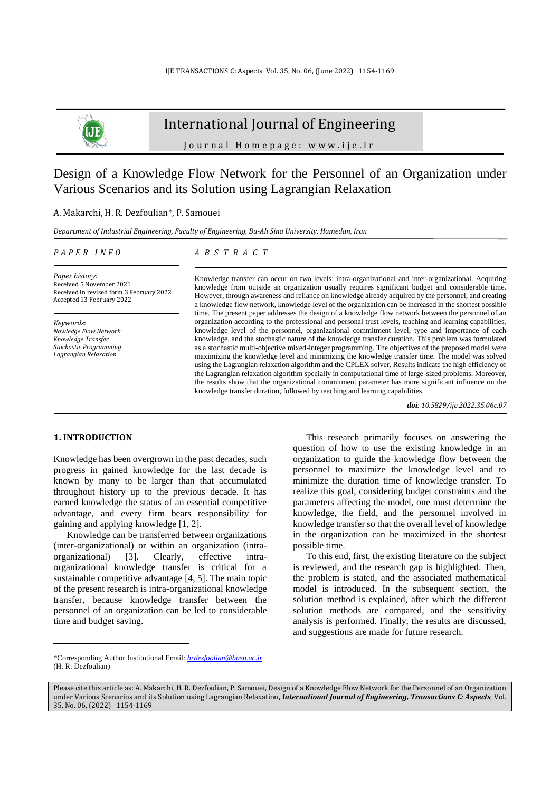

## International Journal of Engineering

J o u r n a l H o m e p a g e : w w w . i j e . i r

# Design of a Knowledge Flow Network for the Personnel of an Organization under Various Scenarios and its Solution using Lagrangian Relaxation

A. Makarchi, H. R. Dezfoulian\*, P. Samouei

*Department of Industrial Engineering, Faculty of Engineering, Bu-Ali Sina University, Hamedan, Iran*

### *P A P E R I N F O*

*A B S T R A C T*

*Paper history:* Received 5 November 2021 Received in revised form 3 February 2022 Accepted 13 February 2022

*Keywords*: *Nowledge Flow Network Knowledge Transfer Stochastic Programming Lagrangian Relaxation*

Knowledge transfer can occur on two levels: intra-organizational and inter-organizational. Acquiring knowledge from outside an organization usually requires significant budget and considerable time. However, through awareness and reliance on knowledge already acquired by the personnel, and creating a knowledge flow network, knowledge level of the organization can be increased in the shortest possible time. The present paper addresses the design of a knowledge flow network between the personnel of an organization according to the professional and personal trust levels, teaching and learning capabilities, knowledge level of the personnel, organizational commitment level, type and importance of each knowledge, and the stochastic nature of the knowledge transfer duration. This problem was formulated as a stochastic multi-objective mixed-integer programming. The objectives of the proposed model were maximizing the knowledge level and minimizing the knowledge transfer time. The model was solved using the Lagrangian relaxation algorithm and the CPLEX solver. Results indicate the high efficiency of the Lagrangian relaxation algorithm specially in computational time of large-sized problems. Moreover, the results show that the organizational commitment parameter has more significant influence on the knowledge transfer duration, followed by teaching and learning capabilities.

*doi: 10.5829/ije.2022.35.06c.07*

## **1. INTRODUCTION<sup>1</sup>**

Knowledge has been overgrown in the past decades, such progress in gained knowledge for the last decade is known by many to be larger than that accumulated throughout history up to the previous decade. It has earned knowledge the status of an essential competitive advantage, and every firm bears responsibility for gaining and applying knowledge [\[1,](#page-14-0) [2\]](#page-14-1).

Knowledge can be transferred between organizations (inter-organizational) or within an organization (intraorganizational) [\[3\]](#page-14-2). Clearly, effective intraorganizational knowledge transfer is critical for a sustainable competitive advantage [\[4,](#page-14-3) [5\]](#page-14-4). The main topic of the present research is intra-organizational knowledge transfer, because knowledge transfer between the personnel of an organization can be led to considerable time and budget saving.

This research primarily focuses on answering the question of how to use the existing knowledge in an organization to guide the knowledge flow between the personnel to maximize the knowledge level and to minimize the duration time of knowledge transfer. To realize this goal, considering budget constraints and the parameters affecting the model, one must determine the knowledge, the field, and the personnel involved in knowledge transfer so that the overall level of knowledge in the organization can be maximized in the shortest possible time.

To this end, first, the existing literature on the subject is reviewed, and the research gap is highlighted. Then, the problem is stated, and the associated mathematical model is introduced. In the subsequent section, the solution method is explained, after which the different solution methods are compared, and the sensitivity analysis is performed. Finally, the results are discussed, and suggestions are made for future research.

<sup>\*</sup>Corresponding Author Institutional Email: *[hrdezfoolian@basu.ac.ir](mailto:hrdezfoolian@basu.ac.ir)* (H. R. Dezfoulian)

Please cite this article as: A. Makarchi, H. R. Dezfoulian, P. Samouei, Design of a Knowledge Flow Network for the Personnel of an Organization under Various Scenarios and its Solution using Lagrangian Relaxation, *International Journal of Engineering, Transactions C: Aspects*, Vol. 35, No. 06, (2022) 1154-1169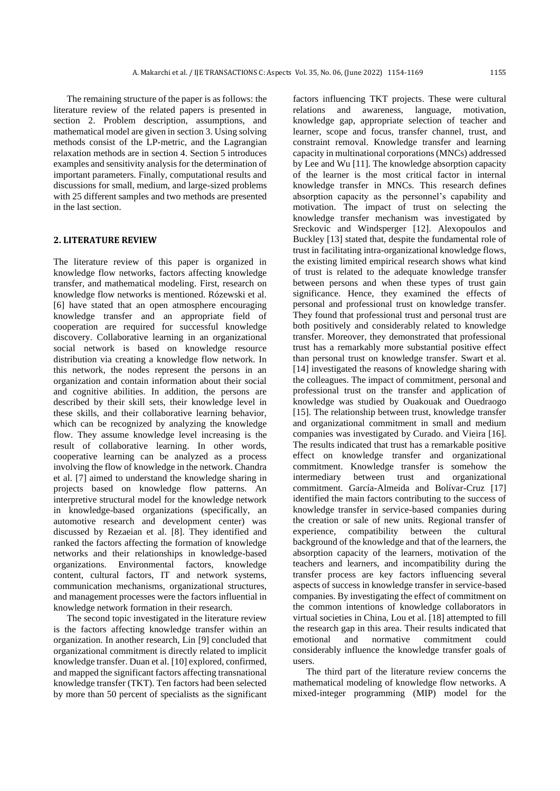The remaining structure of the paper is as follows: the literature review of the related papers is presented in section 2. Problem description, assumptions, and mathematical model are given in section 3. Using solving methods consist of the LP-metric, and the Lagrangian relaxation methods are in section 4. Section 5 introduces examples and sensitivity analysis for the determination of important parameters. Finally, computational results and discussions for small, medium, and large-sized problems with 25 different samples and two methods are presented in the last section.

### **2. LITERATURE REVIEW**

The literature review of this paper is organized in knowledge flow networks, factors affecting knowledge transfer, and mathematical modeling. First, research on knowledge flow networks is mentioned. Rózewski et al. [\[6\]](#page-14-5) have stated that an open atmosphere encouraging knowledge transfer and an appropriate field of cooperation are required for successful knowledge discovery. Collaborative learning in an organizational social network is based on knowledge resource distribution via creating a knowledge flow network. In this network, the nodes represent the persons in an organization and contain information about their social and cognitive abilities. In addition, the persons are described by their skill sets, their knowledge level in these skills, and their collaborative learning behavior, which can be recognized by analyzing the knowledge flow. They assume knowledge level increasing is the result of collaborative learning. In other words, cooperative learning can be analyzed as a process involving the flow of knowledge in the network. Chandra et al. [\[7\]](#page-14-6) aimed to understand the knowledge sharing in projects based on knowledge flow patterns. An interpretive structural model for the knowledge network in knowledge-based organizations (specifically, an automotive research and development center) was discussed by Rezaeian et al. [\[8\]](#page-15-0). They identified and ranked the factors affecting the formation of knowledge networks and their relationships in knowledge-based organizations. Environmental factors, knowledge content, cultural factors, IT and network systems, communication mechanisms, organizational structures, and management processes were the factors influential in knowledge network formation in their research.

The second topic investigated in the literature review is the factors affecting knowledge transfer within an organization. In another research, Lin [\[9\]](#page-15-1) concluded that organizational commitment is directly related to implicit knowledge transfer. Duan et al. [\[10\]](#page-15-2) explored, confirmed, and mapped the significant factors affecting transnational knowledge transfer (TKT). Ten factors had been selected by more than 50 percent of specialists as the significant factors influencing TKT projects. These were cultural relations and awareness, language, motivation, knowledge gap, appropriate selection of teacher and learner, scope and focus, transfer channel, trust, and constraint removal. Knowledge transfer and learning capacity in multinational corporations (MNCs) addressed by Lee and Wu [\[11\]](#page-15-3). The knowledge absorption capacity of the learner is the most critical factor in internal knowledge transfer in MNCs. This research defines absorption capacity as the personnel's capability and motivation. The impact of trust on selecting the knowledge transfer mechanism was investigated by Sreckovic and Windsperger [\[12\]](#page-15-4). Alexopoulos and Buckley [\[13\]](#page-15-5) stated that, despite the fundamental role of trust in facilitating intra-organizational knowledge flows, the existing limited empirical research shows what kind of trust is related to the adequate knowledge transfer between persons and when these types of trust gain significance. Hence, they examined the effects of personal and professional trust on knowledge transfer. They found that professional trust and personal trust are both positively and considerably related to knowledge transfer. Moreover, they demonstrated that professional trust has a remarkably more substantial positive effect than personal trust on knowledge transfer. Swart et al. [\[14\]](#page-15-6) investigated the reasons of knowledge sharing with the colleagues. The impact of commitment, personal and professional trust on the transfer and application of knowledge was studied by Ouakouak and Ouedraogo [\[15\]](#page-15-7). The relationship between trust, knowledge transfer and organizational commitment in small and medium companies was investigated by Curado. and Vieira [\[16\]](#page-15-8). The results indicated that trust has a remarkable positive effect on knowledge transfer and organizational commitment. Knowledge transfer is somehow the intermediary between trust and organizational commitment. García-Almeida and Bolívar-Cruz [\[17\]](#page-15-9) identified the main factors contributing to the success of knowledge transfer in service-based companies during the creation or sale of new units. Regional transfer of experience, compatibility between the cultural background of the knowledge and that of the learners, the absorption capacity of the learners, motivation of the teachers and learners, and incompatibility during the transfer process are key factors influencing several aspects of success in knowledge transfer in service-based companies. By investigating the effect of commitment on the common intentions of knowledge collaborators in virtual societies in China, Lou et al. [\[18\]](#page-15-10) attempted to fill the research gap in this area. Their results indicated that emotional and normative commitment could considerably influence the knowledge transfer goals of users.

The third part of the literature review concerns the mathematical modeling of knowledge flow networks. A mixed-integer programming (MIP) model for the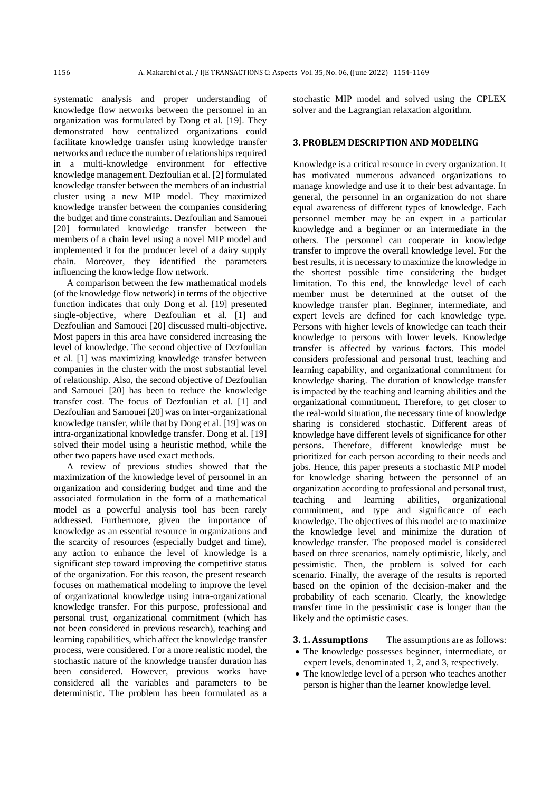systematic analysis and proper understanding of knowledge flow networks between the personnel in an organization was formulated by Dong et al. [\[19\]](#page-15-11). They demonstrated how centralized organizations could facilitate knowledge transfer using knowledge transfer networks and reduce the number of relationships required in a multi-knowledge environment for effective knowledge management. Dezfoulian et al. [2] formulated knowledge transfer between the members of an industrial cluster using a new MIP model. They maximized knowledge transfer between the companies considering the budget and time constraints. Dezfoulian and Samouei [\[20\]](#page-15-12) formulated knowledge transfer between the members of a chain level using a novel MIP model and implemented it for the producer level of a dairy supply chain. Moreover, they identified the parameters influencing the knowledge flow network.

A comparison between the few mathematical models (of the knowledge flow network) in terms of the objective function indicates that only Dong et al. [\[19\]](#page-15-11) presented single-objective, where Dezfoulian et al. [1] and Dezfoulian and Samouei [\[20\]](#page-15-12) discussed multi-objective. Most papers in this area have considered increasing the level of knowledge. The second objective of Dezfoulian et al. [1] was maximizing knowledge transfer between companies in the cluster with the most substantial level of relationship. Also, the second objective of Dezfoulian and Samouei [20] has been to reduce the knowledge transfer cost. The focus of Dezfoulian et al. [1] and Dezfoulian and Samouei [20] was on inter-organizational knowledge transfer, while that by Dong et al. [19] was on intra-organizational knowledge transfer. Dong et al. [19] solved their model using a heuristic method, while the other two papers have used exact methods.

A review of previous studies showed that the maximization of the knowledge level of personnel in an organization and considering budget and time and the associated formulation in the form of a mathematical model as a powerful analysis tool has been rarely addressed. Furthermore, given the importance of knowledge as an essential resource in organizations and the scarcity of resources (especially budget and time), any action to enhance the level of knowledge is a significant step toward improving the competitive status of the organization. For this reason, the present research focuses on mathematical modeling to improve the level of organizational knowledge using intra-organizational knowledge transfer. For this purpose, professional and personal trust, organizational commitment (which has not been considered in previous research), teaching and learning capabilities, which affect the knowledge transfer process, were considered. For a more realistic model, the stochastic nature of the knowledge transfer duration has been considered. However, previous works have considered all the variables and parameters to be deterministic. The problem has been formulated as a stochastic MIP model and solved using the CPLEX solver and the Lagrangian relaxation algorithm.

## **3. PROBLEM DESCRIPTION AND MODELING**

Knowledge is a critical resource in every organization. It has motivated numerous advanced organizations to manage knowledge and use it to their best advantage. In general, the personnel in an organization do not share equal awareness of different types of knowledge. Each personnel member may be an expert in a particular knowledge and a beginner or an intermediate in the others. The personnel can cooperate in knowledge transfer to improve the overall knowledge level. For the best results, it is necessary to maximize the knowledge in the shortest possible time considering the budget limitation. To this end, the knowledge level of each member must be determined at the outset of the knowledge transfer plan. Beginner, intermediate, and expert levels are defined for each knowledge type. Persons with higher levels of knowledge can teach their knowledge to persons with lower levels. Knowledge transfer is affected by various factors. This model considers professional and personal trust, teaching and learning capability, and organizational commitment for knowledge sharing. The duration of knowledge transfer is impacted by the teaching and learning abilities and the organizational commitment. Therefore, to get closer to the real-world situation, the necessary time of knowledge sharing is considered stochastic. Different areas of knowledge have different levels of significance for other persons. Therefore, different knowledge must be prioritized for each person according to their needs and jobs. Hence, this paper presents a stochastic MIP model for knowledge sharing between the personnel of an organization according to professional and personal trust, teaching and learning abilities, organizational commitment, and type and significance of each knowledge. The objectives of this model are to maximize the knowledge level and minimize the duration of knowledge transfer. The proposed model is considered based on three scenarios, namely optimistic, likely, and pessimistic. Then, the problem is solved for each scenario. Finally, the average of the results is reported based on the opinion of the decision-maker and the probability of each scenario. Clearly, the knowledge transfer time in the pessimistic case is longer than the likely and the optimistic cases.

**3.1. Assumptions** The assumptions are as follows:

- The knowledge possesses beginner, intermediate, or expert levels, denominated 1, 2, and 3, respectively.
- The knowledge level of a person who teaches another person is higher than the learner knowledge level.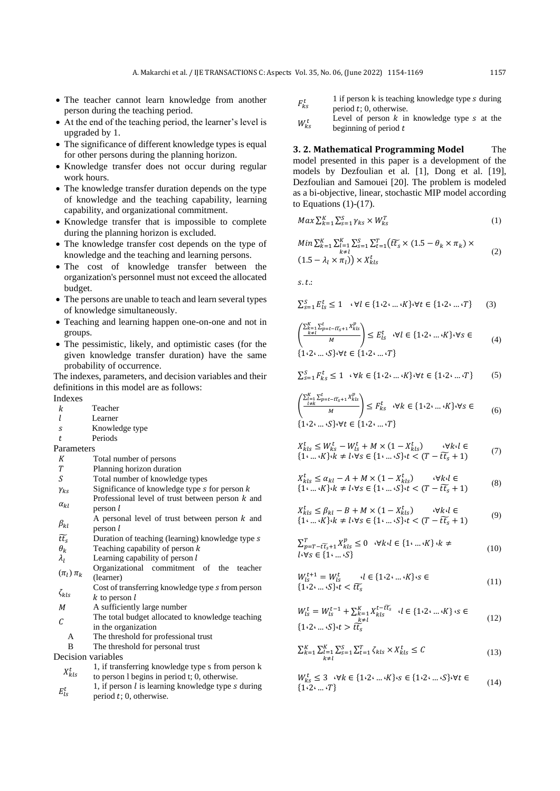- The teacher cannot learn knowledge from another person during the teaching period.
- At the end of the teaching period, the learner's level is upgraded by 1.
- The significance of different knowledge types is equal for other persons during the planning horizon.
- Knowledge transfer does not occur during regular work hours.
- The knowledge transfer duration depends on the type of knowledge and the teaching capability, learning capability, and organizational commitment.
- Knowledge transfer that is impossible to complete during the planning horizon is excluded.
- The knowledge transfer cost depends on the type of knowledge and the teaching and learning persons.
- The cost of knowledge transfer between the organization's personnel must not exceed the allocated budget.
- The persons are unable to teach and learn several types of knowledge simultaneously.
- Teaching and learning happen one-on-one and not in groups.
- The pessimistic, likely, and optimistic cases (for the given knowledge transfer duration) have the same probability of occurrence.

The indexes, parameters, and decision variables and their definitions in this model are as follows:

Indexes

- k Teacher
- Learner
- s Knowledge type
- Periods

Parameters

- Total number of persons
- T Planning horizon duration<br>S Total number of knowledge
- Total number of knowledge types
- $\gamma_{ks}$  Significance of knowledge type *s* for person *k*
- $\alpha_{kl}$ Professional level of trust between person  $k$  and person l
- $\beta_{kl}$ A personal level of trust between person  $k$  and  $person$  $l$
- $\widetilde{t\tau_s}$  Duration of teaching (learning) knowledge type s<br>  $\theta_k$  Teaching capability of person k
- 
- $\theta_k$  Teaching capability of person k<br>  $\lambda_l$  Learning capability of person l Learning capability of person  $l$
- $(\pi_l)$   $\pi_k$ Organizational commitment of the teacher (learner)
- $\zeta_{kls}$ Cost of transferring knowledge type s from person  $k$  to person  $l$
- M A sufficiently large number
- $\mathcal{C}_{0}^{(1)}$ The total budget allocated to knowledge teaching in the organization
	- A The threshold for professional trust
	- B The threshold for personal trust

Decision variables

- $X_{kls}^t$  1, if transferring knowledge type s from person k to person l begins in period t; 0, otherwise.
- $E_{ls}^t$ 1, if person  $l$  is learning knowledge type  $s$  during period  $t$ ; 0, otherwise.
- $F_{ks}^t$ 1 if person  $k$  is teaching knowledge type  $s$  during period  $t$ ; 0, otherwise.
- $W_{k,s}^t$ Level of person  $k$  in knowledge type  $s$  at the beginning of period  $t$

**3. 2. Mathematical Programming Model** The model presented in this paper is a development of the models by Dezfoulian et al. [1], Dong et al. [19], Dezfoulian and Samouei [20]. The problem is modeled as a bi-objective, linear, stochastic MIP model according to Equations  $(1)-(17)$ .

$$
Max \sum_{k=1}^{K} \sum_{s=1}^{S} \gamma_{ks} \times W_{ks}^{T}
$$
 (1)

$$
Min \sum_{k=1}^{K} \sum_{\substack{l=1 \ k \neq l}}^{K} \sum_{s=1}^{S} \sum_{t=1}^{T} (\widetilde{t_t_s} \times (1.5 - \theta_k \times \pi_k) \times (1.5 - \lambda_l \times \pi_l)) \times X_{kls}^t
$$
\n
$$
(2)
$$

 $s.t.:$ 

$$
\sum_{s=1}^{S} E_{ls}^t \le 1 \quad \forall l \in \{1 \cdot 2 \cdot \dots \cdot K\} \cdot \forall t \in \{1 \cdot 2 \cdot \dots \cdot T\} \tag{3}
$$

$$
\left(\frac{\sum_{k=1}^{K} \sum_{p=t-\ell \overline{t}_s+1}^{t} X_{kls}^p}{M}\right) \le E_{ls}^t \quad \forall l \in \{1 \cdot 2 \cdot \dots \cdot K\} \cdot \forall s \in \tag{4}
$$
\n
$$
\{1 \cdot 2 \cdot \dots \cdot S\} \cdot \forall t \in \{1 \cdot 2 \cdot \dots \cdot T\}
$$

$$
\sum_{s=1}^{S} F_{ks}^t \le 1 \quad \forall k \in \{1 \cdot 2 \cdot \dots \cdot K\} \quad \forall t \in \{1 \cdot 2 \cdot \dots \cdot T\} \tag{5}
$$

$$
\left(\frac{\sum_{i=1}^{K} \sum_{p=t-\ell t_{s}+1}^{t} x_{kls}^{p}}{M}\right) \le F_{ks}^{t} \quad \forall k \in \{1 \cdot 2 \cdot ... \cdot K\} \cdot \forall s \in \{1 \cdot 2 \cdot ... \cdot K\} \cdot \forall s \in \{1 \cdot 2 \cdot ... \cdot S\} \cdot \forall t \in \{1 \cdot 2 \cdot ... \cdot T\}
$$
\n
$$
(6)
$$

$$
X_{kls}^t \le W_{ks}^t - W_{ls}^t + M \times (1 - X_{kls}^t) \qquad \forall k \cdot l \in \{1 \cdot \dots \cdot K\} \cdot k \ne l \cdot \forall s \in \{1 \cdot \dots \cdot S\} \cdot t < (T - \tilde{t}\tilde{t}_s + 1) \tag{7}
$$

$$
X_{kls}^t \le \alpha_{kl} - A + M \times (1 - X_{kls}^t) \qquad \forall k \cdot l \in \{1 \cdot \dots \cdot K\} \cdot k \ne l \cdot \forall s \in \{1 \cdot \dots \cdot S\} \cdot t < (T - \tilde{t}_s + 1) \tag{8}
$$

$$
X_{kls}^t \le \beta_{kl} - B + M \times (1 - X_{kls}^t) \qquad \forall k \cdot l \in
$$
  
{1<sup>i</sup>...<sup>i</sup>K}<sup>1</sup> $k \ne l \cdot \forall s \in \{1 \cdot ... \cdot S\} \cdot t < (T - \tilde{t}\tilde{t}_s + 1)$  (9)

$$
\sum_{p=T-\tilde{t}\tilde{t}_s+1}^{T} X^{p}_{kls} \le 0 \quad \forall k \cdot l \in \{1 \cdot ... \cdot K\} \cdot k \ne \q l \cdot \forall s \in \{1 \cdot ... \cdot S\}
$$
\n(10)

$$
W_{ls}^{t+1} = W_{ls}^t \qquad l \in \{1 \cdot 2 \cdot \dots \cdot K\} \cdot s \in
$$
  

$$
\{1 \cdot 2 \cdot \dots \cdot S\} \cdot t < \tilde{t}\tilde{t}_s \tag{11}
$$

$$
W_{ls}^{t} = W_{ls}^{t-1} + \sum_{\substack{k=1\\k \neq l}}^{K} X_{kls}^{t - t\bar{t}_{s}} \quad l \in \{1 \cdot 2 \cdot ... \cdot K\} \cdot s \in \{1 \cdot 2 \cdot ... \cdot s\} \cdot t > t\bar{t}_{s}
$$
\n
$$
(12)
$$

$$
\sum_{k=1}^{K} \sum_{\substack{l=1 \\ k \neq l}}^{K} \sum_{S=1}^{S} \sum_{t=1}^{T} \zeta_{kls} \times X_{kls}^{t} \le C
$$
\n(13)

$$
W_{ks}^t \leq 3 \quad \forall k \in \{1 \cdot 2 \cdot \dots \cdot K\} \cdot s \in \{1 \cdot 2 \cdot \dots \cdot S\} \cdot \forall t \in \{1 \cdot 2 \cdot \dots \cdot T\}
$$
\n
$$
(14)
$$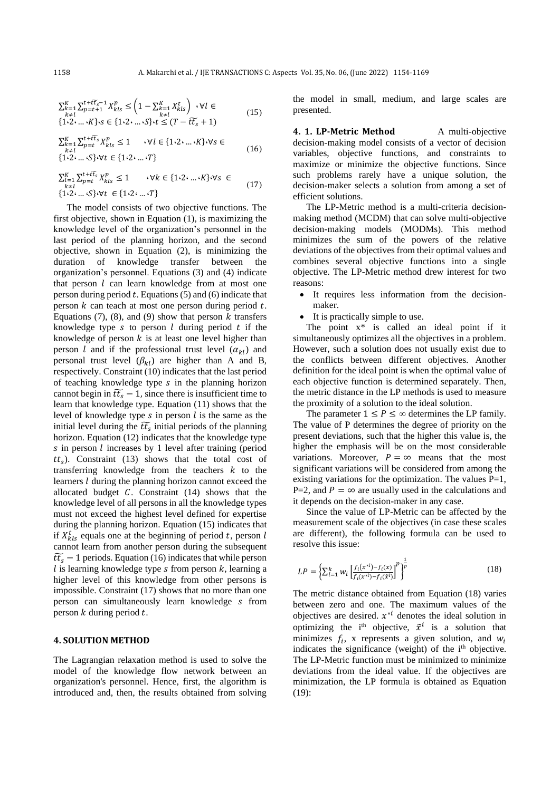$$
\sum_{k=1}^{K} \sum_{p=t+1}^{t+\bar{t}\bar{t}_{s}-1} X_{kls}^{p} \leq \left(1 - \sum_{\substack{k=1\\k\neq l}}^{K} X_{kls}^{t}\right) \cdot \forall l \in \{1 \cdot 2 \cdot ... \cdot K\} \cdot s \in \{1 \cdot 2 \cdot ... \cdot s\} \cdot t \leq (T - \bar{t}\bar{t}_{s} + 1)
$$
\n(15)

$$
\sum_{\substack{k=1 \ k \neq l}}^{K} \sum_{p=t}^{t + t\bar{t}_s} X_{kls}^p \le 1 \qquad \forall l \in \{1 \cdot 2 \cdot \dots \cdot K\} \cdot \forall s \in \{1 \cdot 2 \cdot \dots \cdot S\} \cdot \forall t \in \{1 \cdot 2 \cdot \dots \cdot T\}
$$
\n(16)

$$
\sum_{\substack{l=1 \ k \neq l}}^{K} \sum_{p=t}^{t+\widetilde{t}\widetilde{t}_{s}} X_{kls}^{p} \le 1 \qquad \forall k \in \{1 \cdot 2 \cdot ... \cdot K\} \cdot \forall s \in \{1 \cdot 2 \cdot ... \cdot S\} \cdot \forall t \in \{1 \cdot 2 \cdot ... \cdot T\}
$$
\n(17)

The model consists of two objective functions. The first objective, shown in Equation (1), is maximizing the knowledge level of the organization's personnel in the last period of the planning horizon, and the second objective, shown in Equation (2), is minimizing the duration of knowledge transfer between the organization's personnel. Equations (3) and (4) indicate that person  $l$  can learn knowledge from at most one person during period  $t$ . Equations (5) and (6) indicate that person  $k$  can teach at most one person during period  $t$ . Equations (7), (8), and (9) show that person  $k$  transfers knowledge type s to person  $l$  during period  $t$  if the knowledge of person  $k$  is at least one level higher than person l and if the professional trust level  $(\alpha_{kl})$  and personal trust level  $(\beta_{kl})$  are higher than A and B, respectively. Constraint (10) indicates that the last period of teaching knowledge type  $s$  in the planning horizon cannot begin in  $\tilde{t}\tilde{t}_s - 1$ , since there is insufficient time to learn that knowledge type. Equation (11) shows that the level of knowledge type  $s$  in person  $l$  is the same as the initial level during the  $\tilde{t}$  initial periods of the planning horizon. Equation (12) indicates that the knowledge type  $s$  in person  $l$  increases by 1 level after training (period  $tt_s$ ). Constraint (13) shows that the total cost of transferring knowledge from the teachers  $k$  to the learners *l* during the planning horizon cannot exceed the allocated budget  $C$ . Constraint (14) shows that the knowledge level of all persons in all the knowledge types must not exceed the highest level defined for expertise during the planning horizon. Equation (15) indicates that if  $X_{kls}^t$  equals one at the beginning of period t, person l cannot learn from another person during the subsequent  $\widetilde{t}\widetilde{t}_s$  – 1 periods. Equation (16) indicates that while person  $l$  is learning knowledge type  $s$  from person  $k$ , learning a higher level of this knowledge from other persons is impossible. Constraint (17) shows that no more than one person can simultaneously learn knowledge *s* from person  $k$  during period  $t$ .

#### **4. SOLUTION METHOD**

The Lagrangian relaxation method is used to solve the model of the knowledge flow network between an organization's personnel. Hence, first, the algorithm is introduced and, then, the results obtained from solving

the model in small, medium, and large scales are presented.

**4. 1. LP-Metric Method** A multi-objective decision-making model consists of a vector of decision variables, objective functions, and constraints to maximize or minimize the objective functions. Since such problems rarely have a unique solution, the decision-maker selects a solution from among a set of efficient solutions.

The LP-Metric method is a multi-criteria decisionmaking method (MCDM) that can solve multi-objective decision-making models (MODMs). This method minimizes the sum of the powers of the relative deviations of the objectives from their optimal values and combines several objective functions into a single objective. The LP-Metric method drew interest for two reasons:

- It requires less information from the decisionmaker.
- It is practically simple to use.

The point  $x^*$  is called an ideal point if it simultaneously optimizes all the objectives in a problem. However, such a solution does not usually exist due to the conflicts between different objectives. Another definition for the ideal point is when the optimal value of each objective function is determined separately. Then, the metric distance in the LP methods is used to measure the proximity of a solution to the ideal solution.

The parameter  $1 \le P \le \infty$  determines the LP family. The value of P determines the degree of priority on the present deviations, such that the higher this value is, the higher the emphasis will be on the most considerable variations. Moreover,  $P = \infty$  means that the most significant variations will be considered from among the existing variations for the optimization. The values  $P=1$ , P=2, and  $P = \infty$  are usually used in the calculations and it depends on the decision-maker in any case.

Since the value of LP-Metric can be affected by the measurement scale of the objectives (in case these scales are different), the following formula can be used to resolve this issue:

$$
LP = \left\{ \sum_{i=1}^{k} w_i \left[ \frac{f_i(x^{*i}) - f_i(x)}{f_i(x^{*i}) - f_i(\tilde{x}^i)} \right]^p \right\}^{\frac{1}{p}}
$$
(18)

The metric distance obtained from Equation (18) varies between zero and one. The maximum values of the objectives are desired.  $x^{*i}$  denotes the ideal solution in optimizing the i<sup>th</sup> objective,  $\tilde{x}^i$  is a solution that minimizes  $f_i$ , x represents a given solution, and  $w_i$ indicates the significance (weight) of the i<sup>th</sup> objective. The LP-Metric function must be minimized to minimize deviations from the ideal value. If the objectives are minimization, the LP formula is obtained as Equation (19):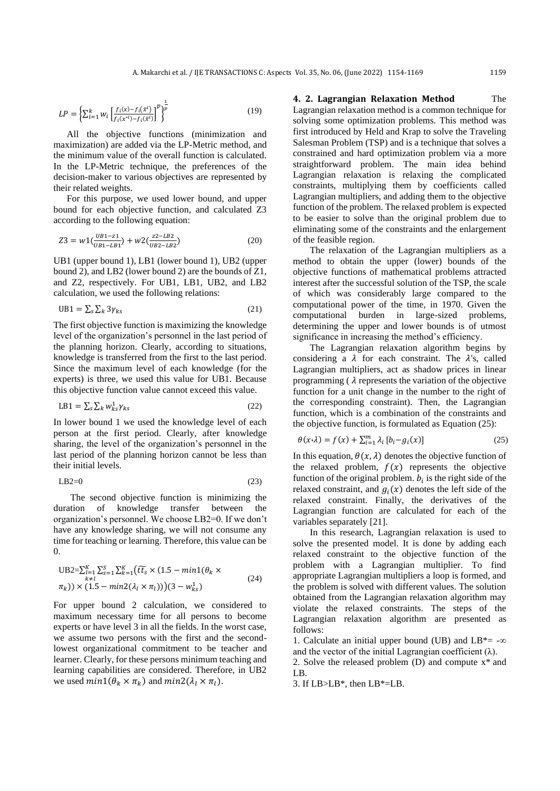$$
LP = \left\{ \sum_{i=1}^{k} w_i \left[ \frac{f_i(x) - f_i(\tilde{x}^i)}{f_i(x^{*i}) - f_i(\tilde{x}^i)} \right]^p \right\}^{\frac{1}{p}}
$$
(19)

All the objective functions (minimization and maximization) are added via the LP-Metric method, and the minimum value of the overall function is calculated. In the LP-Metric technique, the preferences of the decision-maker to various objectives are represented by their related weights.

For this purpose, we used lower bound, and upper bound for each objective function, and calculated Z3 according to the following equation:

$$
Z3 = w1\left(\frac{UB1-z1}{UB1-LB1}\right) + w2\left(\frac{z2-LB2}{UB2-LB2}\right) \tag{20}
$$

UB1 (upper bound 1), LB1 (lower bound 1), UB2 (upper bound 2), and LB2 (lower bound 2) are the bounds of Z1, and Z2, respectively. For UB1, LB1, UB2, and LB2 calculation, we used the following relations:

$$
UB1 = \sum_{s} \sum_{k} 3\gamma_{ks} \tag{21}
$$

The first objective function is maximizing the knowledge level of the organization's personnel in the last period of the planning horizon. Clearly, according to situations, knowledge is transferred from the first to the last period. Since the maximum level of each knowledge (for the experts) is three, we used this value for UB1. Because this objective function value cannot exceed this value.

$$
LB1 = \sum_{s} \sum_{k} w_{ks}^1 \gamma_{ks}
$$
 (22)

In lower bound 1 we used the knowledge level of each person at the first period. Clearly, after knowledge sharing, the level of the organization's personnel in the last period of the planning horizon cannot be less than their initial levels.

$$
LB2=0 \tag{23}
$$

The second objective function is minimizing the duration of knowledge transfer between the organization's personnel. We choose LB2=0. If we don't have any knowledge sharing, we will not consume any time for teaching or learning. Therefore, this value can be  $\Omega$ .

$$
UB2 = \sum_{k=1}^{K} \sum_{s=1}^{S} \sum_{k=1}^{K} (\widetilde{t_{s}} \times (1.5 - \min( \theta_{k} \times \pi_{k})) \times (1.5 - \min(2(\lambda_{l} \times \pi_{l})))(3 - w_{ks}^{1})
$$
\n(24)

For upper bound 2 calculation, we considered to maximum necessary time for all persons to become experts or have level 3 in all the fields. In the worst case, we assume two persons with the first and the secondlowest organizational commitment to be teacher and learner. Clearly, for these persons minimum teaching and learning capabilities are considered. Therefore, in UB2 we used  $min1(\theta_k \times \pi_k)$  and  $min2(\lambda_l \times \pi_l)$ .

**4. 2. Lagrangian Relaxation Method** The Lagrangian relaxation method is a common technique for solving some optimization problems. This method was first introduced by Held and Krap to solve the Traveling Salesman Problem (TSP) and is a technique that solves a constrained and hard optimization problem via a more straightforward problem. The main idea behind Lagrangian relaxation is relaxing the complicated constraints, multiplying them by coefficients called Lagrangian multipliers, and adding them to the objective function of the problem. The relaxed problem is expected to be easier to solve than the original problem due to eliminating some of the constraints and the enlargement of the feasible region.

The relaxation of the Lagrangian multipliers as a method to obtain the upper (lower) bounds of the objective functions of mathematical problems attracted interest after the successful solution of the TSP, the scale of which was considerably large compared to the computational power of the time, in 1970. Given the computational burden in large-sized problems, determining the upper and lower bounds is of utmost significance in increasing the method's efficiency.

The Lagrangian relaxation algorithm begins by considering a  $\lambda$  for each constraint. The  $\lambda$ 's, called Lagrangian multipliers, act as shadow prices in linear programming ( $\lambda$  represents the variation of the objective function for a unit change in the number to the right of the corresponding constraint). Then, the Lagrangian function, which is a combination of the constraints and the objective function, is formulated as Equation (25):

$$
\theta(x \cdot \lambda) = f(x) + \sum_{i=1}^{m} \lambda_i [b_i - g_i(x)] \tag{25}
$$

In this equation,  $\theta(x, \lambda)$  denotes the objective function of the relaxed problem,  $f(x)$  represents the objective function of the original problem.  $b_i$  is the right side of the relaxed constraint, and  $g_i(x)$  denotes the left side of the relaxed constraint. Finally, the derivatives of the Lagrangian function are calculated for each of the variables separately [\[21\]](#page-15-13).

In this research, Lagrangian relaxation is used to solve the presented model. It is done by adding each relaxed constraint to the objective function of the problem with a Lagrangian multiplier. To find appropriate Lagrangian multipliers a loop is formed, and the problem is solved with different values. The solution obtained from the Lagrangian relaxation algorithm may violate the relaxed constraints. The steps of the Lagrangian relaxation algorithm are presented as follows:

1. Calculate an initial upper bound (UB) and  $LB^* = -\infty$ and the vector of the initial Lagrangian coefficient  $(\lambda)$ .

2. Solve the released problem (D) and compute x\* and LB.

3. If LB>LB\*, then LB\*=LB.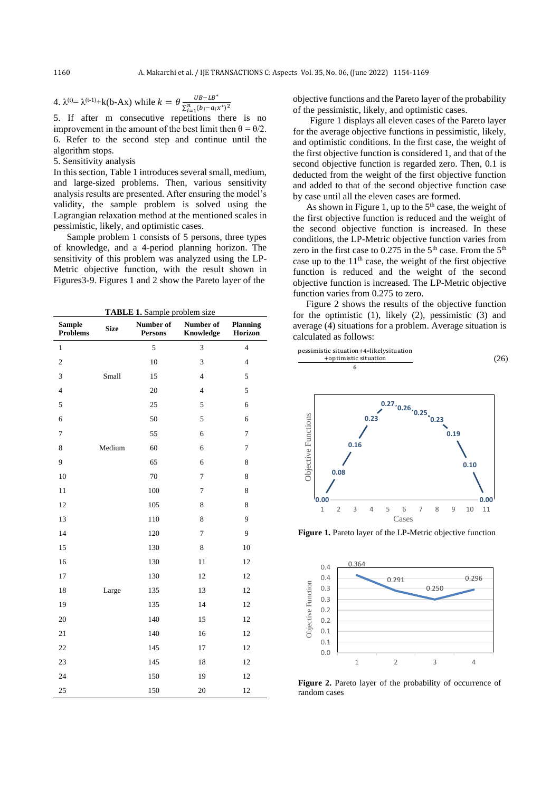4.  $\lambda^{(t)} = \lambda^{(t-1)} + k(b-Ax)$  while  $k = \theta \frac{UB - LB^*}{\Sigma^R - (b-a)^2}$  $\sum_{i=1}^{n} (b_i - a_i x^*)^2$ 

5. If after m consecutive repetitions there is no improvement in the amount of the best limit then  $\theta = \theta/2$ . 6. Refer to the second step and continue until the algorithm stops.

5. Sensitivity analysis

In this section, Table 1 introduces several small, medium, and large-sized problems. Then, various sensitivity analysis results are presented. After ensuring the model's validity, the sample problem is solved using the Lagrangian relaxation method at the mentioned scales in pessimistic, likely, and optimistic cases.

Sample problem 1 consists of 5 persons, three types of knowledge, and a 4-period planning horizon. The sensitivity of this problem was analyzed using the LP-Metric objective function, with the result shown in Figures3-9. Figures 1 and 2 show the Pareto layer of the

**TABLE 1.** Sample problem size

| <b>Sample</b><br><b>Problems</b> | <b>Size</b> | Number of<br><b>Persons</b> | Number of<br>Knowledge | <b>Planning</b><br>Horizon |
|----------------------------------|-------------|-----------------------------|------------------------|----------------------------|
| $\mathbf{1}$                     |             | 5                           | 3                      | $\overline{4}$             |
| $\overline{c}$                   |             | 10                          | 3                      | $\overline{4}$             |
| 3                                | Small       | 15                          | $\overline{4}$         | 5                          |
| $\overline{4}$                   |             | 20                          | $\overline{4}$         | 5                          |
| 5                                |             | 25                          | 5                      | 6                          |
| 6                                |             | 50                          | 5                      | 6                          |
| $\tau$                           |             | 55                          | 6                      | $\overline{7}$             |
| 8                                | Medium      | 60                          | 6                      | $\overline{7}$             |
| 9                                |             | 65                          | 6                      | 8                          |
| 10                               |             | 70                          | 7                      | 8                          |
| 11                               |             | 100                         | $\overline{7}$         | 8                          |
| 12                               |             | 105                         | 8                      | 8                          |
| 13                               |             | 110                         | 8                      | 9                          |
| 14                               |             | 120                         | 7                      | 9                          |
| 15                               |             | 130                         | 8                      | 10                         |
| 16                               |             | 130                         | 11                     | 12                         |
| 17                               |             | 130                         | 12                     | 12                         |
| 18                               | Large       | 135                         | 13                     | 12                         |
| 19                               |             | 135                         | 14                     | 12                         |
| 20                               |             | 140                         | 15                     | 12                         |
| 21                               |             | 140                         | 16                     | 12                         |
| 22                               |             | 145                         | 17                     | 12                         |
| 23                               |             | 145                         | 18                     | 12                         |
| 24                               |             | 150                         | 19                     | 12                         |
| 25                               |             | 150                         | 20                     | 12                         |

objective functions and the Pareto layer of the probability of the pessimistic, likely, and optimistic cases.

Figure 1 displays all eleven cases of the Pareto layer for the average objective functions in pessimistic, likely, and optimistic conditions. In the first case, the weight of the first objective function is considered 1, and that of the second objective function is regarded zero. Then, 0.1 is deducted from the weight of the first objective function and added to that of the second objective function case by case until all the eleven cases are formed.

As shown in Figure 1, up to the  $5<sup>th</sup>$  case, the weight of the first objective function is reduced and the weight of the second objective function is increased. In these conditions, the LP-Metric objective function varies from zero in the first case to  $0.275$  in the 5<sup>th</sup> case. From the 5<sup>th</sup> case up to the  $11<sup>th</sup>$  case, the weight of the first objective function is reduced and the weight of the second objective function is increased. The LP-Metric objective function varies from 0.275 to zero.

Figure 2 shows the results of the objective function for the optimistic (1), likely (2), pessimistic (3) and average (4) situations for a problem. Average situation is calculated as follows:

pessimistic situation+4∗likelysituation +optimistic situation 6 (26)



Figure 1. Pareto layer of the LP-Metric objective function



Figure 2. Pareto layer of the probability of occurrence of random cases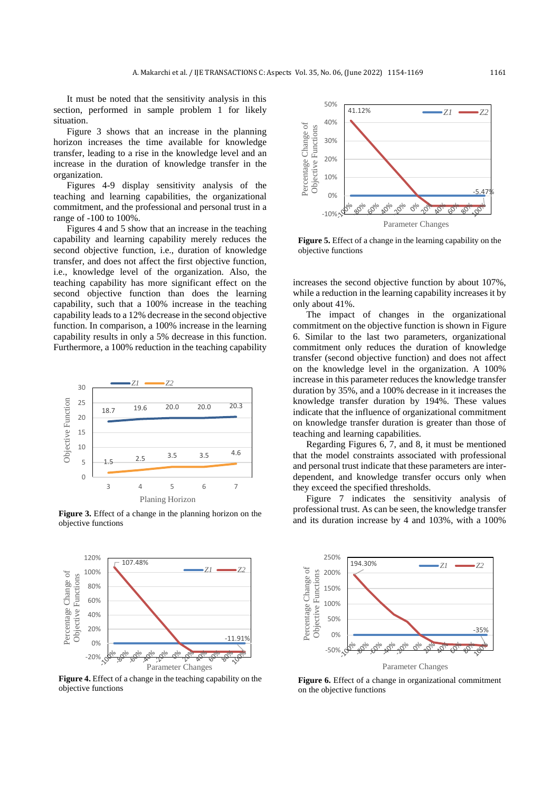It must be noted that the sensitivity analysis in this section, performed in sample problem 1 for likely situation.

Figure 3 shows that an increase in the planning horizon increases the time available for knowledge transfer, leading to a rise in the knowledge level and an increase in the duration of knowledge transfer in the organization.

Figures 4-9 display sensitivity analysis of the teaching and learning capabilities, the organizational commitment, and the professional and personal trust in a range of -100 to 100%.

Figures 4 and 5 show that an increase in the teaching capability and learning capability merely reduces the second objective function, i.e., duration of knowledge transfer, and does not affect the first objective function, i.e., knowledge level of the organization. Also, the teaching capability has more significant effect on the second objective function than does the learning capability, such that a 100% increase in the teaching capability leads to a 12% decrease in the second objective function. In comparison, a 100% increase in the learning capability results in only a 5% decrease in this function. Furthermore, a 100% reduction in the teaching capability



**Figure 3.** Effect of a change in the planning horizon on the objective functions



**Figure 4.** Effect of a change in the teaching capability on the objective functions



**Figure 5.** Effect of a change in the learning capability on the objective functions

increases the second objective function by about 107%, while a reduction in the learning capability increases it by only about 41%.

The impact of changes in the organizational commitment on the objective function is shown in Figure 6. Similar to the last two parameters, organizational commitment only reduces the duration of knowledge transfer (second objective function) and does not affect on the knowledge level in the organization. A 100% increase in this parameter reduces the knowledge transfer duration by 35%, and a 100% decrease in it increases the knowledge transfer duration by 194%. These values indicate that the influence of organizational commitment on knowledge transfer duration is greater than those of teaching and learning capabilities.

Regarding Figures 6, 7, and 8, it must be mentioned that the model constraints associated with professional and personal trust indicate that these parameters are interdependent, and knowledge transfer occurs only when they exceed the specified thresholds.

Figure 7 indicates the sensitivity analysis of professional trust. As can be seen, the knowledge transfer and its duration increase by 4 and 103%, with a 100%



**Figure 6.** Effect of a change in organizational commitment on the objective functions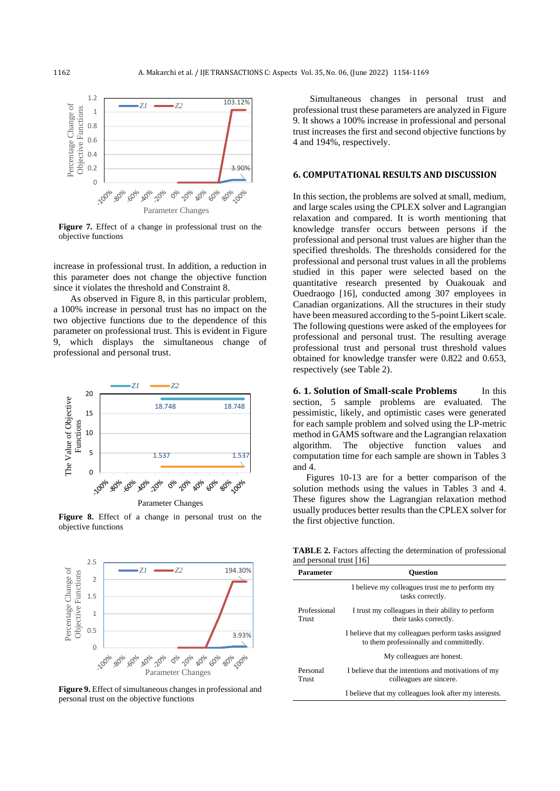

**Figure 7.** Effect of a change in professional trust on the objective functions

increase in professional trust. In addition, a reduction in this parameter does not change the objective function since it violates the threshold and Constraint 8.

As observed in Figure 8, in this particular problem, a 100% increase in personal trust has no impact on the two objective functions due to the dependence of this parameter on professional trust. This is evident in Figure 9, which displays the simultaneous change of professional and personal trust.



Parameter Changes

**Figure 8.** Effect of a change in personal trust on the objective functions



**Figure 9.** Effect of simultaneous changes in professional and personal trust on the objective functions

Simultaneous changes in personal trust and professional trust these parameters are analyzed in Figure 9. It shows a 100% increase in professional and personal trust increases the first and second objective functions by 4 and 194%, respectively.

## **6. COMPUTATIONAL RESULTS AND DISCUSSION**

In this section, the problems are solved at small, medium, and large scales using the CPLEX solver and Lagrangian relaxation and compared. It is worth mentioning that knowledge transfer occurs between persons if the professional and personal trust values are higher than the specified thresholds. The thresholds considered for the professional and personal trust values in all the problems studied in this paper were selected based on the quantitative research presented by Ouakouak and Ouedraogo [16], conducted among 307 employees in Canadian organizations. All the structures in their study have been measured according to the 5-point Likert scale. The following questions were asked of the employees for professional and personal trust. The resulting average professional trust and personal trust threshold values obtained for knowledge transfer were 0.822 and 0.653, respectively (see Table 2).

**6. 1. Solution of Small-scale Problems** In this section, 5 sample problems are evaluated. The pessimistic, likely, and optimistic cases were generated for each sample problem and solved using the LP-metric method in GAMS software and the Lagrangian relaxation algorithm. The objective function values and computation time for each sample are shown in Tables 3 and 4.

Figures 10-13 are for a better comparison of the solution methods using the values in Tables 3 and 4. These figures show the Lagrangian relaxation method usually produces better results than the CPLEX solver for the first objective function.

**TABLE 2.** Factors affecting the determination of professional and personal trust [16]

| <b>Parameter</b>      | <b>Ouestion</b>                                                                                |
|-----------------------|------------------------------------------------------------------------------------------------|
|                       | I believe my colleagues trust me to perform my<br>tasks correctly.                             |
| Professional<br>Trust | I trust my colleagues in their ability to perform<br>their tasks correctly.                    |
|                       | I believe that my colleagues perform tasks assigned<br>to them professionally and committedly. |
|                       | My colleagues are honest.                                                                      |
| Personal<br>Trust     | I believe that the intentions and motivations of my<br>colleagues are sincere.                 |
|                       | I believe that my colleagues look after my interests.                                          |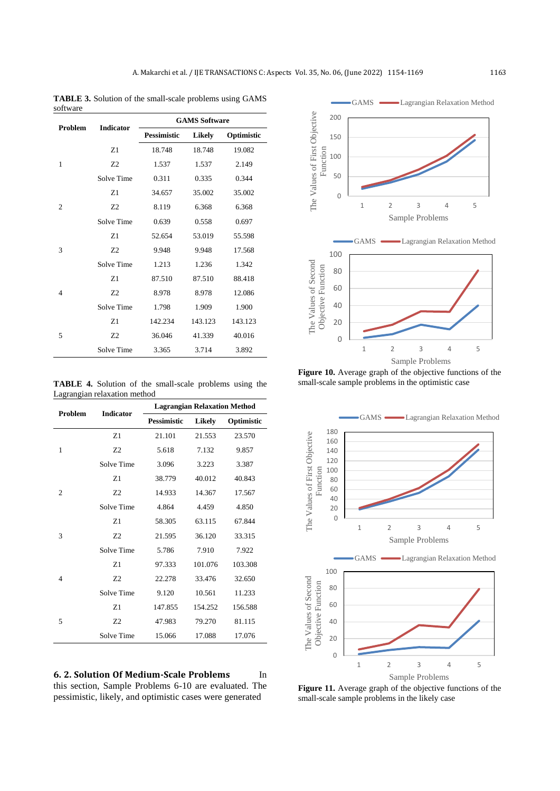**TABLE 3.** Solution of the small-scale problems using GAMS software

| Problem        | <b>Indicator</b> | <b>GAMS Software</b> |               |            |
|----------------|------------------|----------------------|---------------|------------|
|                |                  | <b>Pessimistic</b>   | <b>Likely</b> | Optimistic |
|                | Z1               | 18.748               | 18.748        | 19.082     |
| 1              | 7.2              | 1.537                | 1.537         | 2.149      |
|                | Solve Time       | 0.311                | 0.335         | 0.344      |
|                | Z1               | 34.657               | 35.002        | 35.002     |
| $\overline{c}$ | Z <sub>2</sub>   | 8.119                | 6.368         | 6.368      |
|                | Solve Time       | 0.639                | 0.558         | 0.697      |
| 3              | Z1               | 52.654               | 53.019        | 55.598     |
|                | Z <sub>2</sub>   | 9.948                | 9.948         | 17.568     |
|                | Solve Time       | 1.213                | 1.236         | 1.342      |
|                | Z1               | 87.510               | 87.510        | 88.418     |
| 4              | Z <sub>2</sub>   | 8.978                | 8.978         | 12.086     |
|                | Solve Time       | 1.798                | 1.909         | 1.900      |
| 5              | Z1               | 142.234              | 143.123       | 143.123    |
|                | Z <sub>2</sub>   | 36.046               | 41.339        | 40.016     |
|                | Solve Time       | 3.365                | 3.714         | 3.892      |

**TABLE 4.** Solution of the small-scale problems using the Lagrangian relaxation method

| <b>Problem</b> | <b>Indicator</b> | <b>Lagrangian Relaxation Method</b> |               |            |
|----------------|------------------|-------------------------------------|---------------|------------|
|                |                  | <b>Pessimistic</b>                  | <b>Likely</b> | Optimistic |
|                | Z1               | 21.101                              | 21.553        | 23.570     |
| 1              | Z2               | 5.618                               | 7.132         | 9.857      |
|                | Solve Time       | 3.096                               | 3.223         | 3.387      |
|                | Z1               | 38.779                              | 40.012        | 40.843     |
| $\overline{c}$ | Z <sub>2</sub>   | 14.933                              | 14.367        | 17.567     |
|                | Solve Time       | 4.864                               | 4.459         | 4.850      |
|                | Z1               | 58.305                              | 63.115        | 67.844     |
| 3              | Z <sub>2</sub>   | 21.595                              | 36.120        | 33.315     |
|                | Solve Time       | 5.786                               | 7.910         | 7.922      |
|                | Z1               | 97.333                              | 101.076       | 103.308    |
| 4              | Z <sub>2</sub>   | 22.278                              | 33.476        | 32.650     |
|                | Solve Time       | 9.120                               | 10.561        | 11.233     |
|                | Z1               | 147.855                             | 154.252       | 156.588    |
| 5              | Z <sub>2</sub>   | 47.983                              | 79.270        | 81.115     |
|                | Solve Time       | 15.066                              | 17.088        | 17.076     |

**6. 2. Solution Of Medium-Scale Problems** In this section, Sample Problems 6-10 are evaluated. The pessimistic, likely, and optimistic cases were generated



**Figure 10.** Average graph of the objective functions of the small-scale sample problems in the optimistic case



Figure 11. Average graph of the objective functions of the small-scale sample problems in the likely case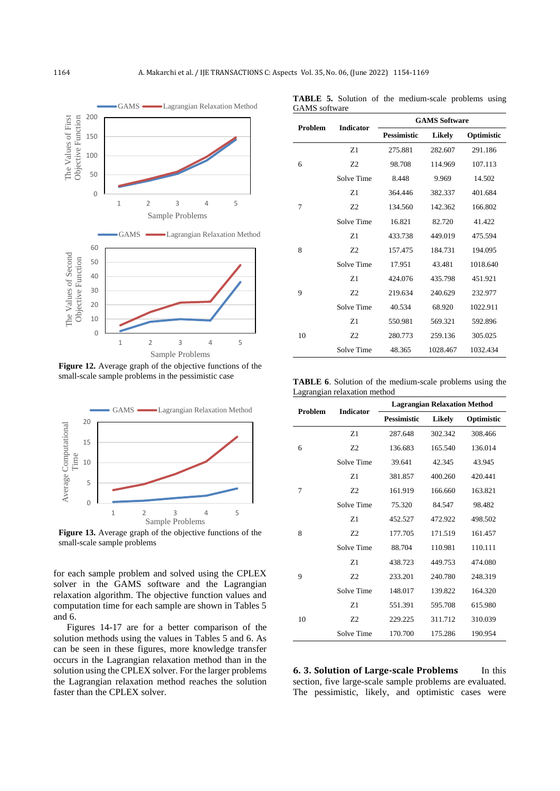

**Figure 12.** Average graph of the objective functions of the small-scale sample problems in the pessimistic case



**Figure 13.** Average graph of the objective functions of the small-scale sample problems

for each sample problem and solved using the CPLEX solver in the GAMS software and the Lagrangian relaxation algorithm. The objective function values and computation time for each sample are shown in Tables 5 and 6.

Figures 14-17 are for a better comparison of the solution methods using the values in Tables 5 and 6. As can be seen in these figures, more knowledge transfer occurs in the Lagrangian relaxation method than in the solution using the CPLEX solver. For the larger problems the Lagrangian relaxation method reaches the solution faster than the CPLEX solver.

| <b>Problem</b> | <b>Indicator</b> | <b>GAMS Software</b> |          |            |
|----------------|------------------|----------------------|----------|------------|
|                |                  | <b>Pessimistic</b>   | Likely   | Optimistic |
|                | Z <sub>1</sub>   | 275.881              | 282.607  | 291.186    |
| 6              | 72               | 98.708               | 114.969  | 107.113    |
|                | Solve Time       | 8.448                | 9.969    | 14.502     |
|                | Z <sub>1</sub>   | 364.446              | 382.337  | 401.684    |
| 7              | Z <sub>2</sub>   | 134.560              | 142.362  | 166.802    |
|                | Solve Time       | 16.821               | 82.720   | 41.422     |
|                | Z <sub>1</sub>   | 433.738              | 449.019  | 475.594    |
| 8              | Z <sub>2</sub>   | 157.475              | 184.731  | 194.095    |
|                | Solve Time       | 17.951               | 43.481   | 1018.640   |
|                | Z1               | 424.076              | 435.798  | 451.921    |
| 9              | Z <sub>2</sub>   | 219.634              | 240.629  | 232.977    |
|                | Solve Time       | 40.534               | 68.920   | 1022.911   |
| 10             | Z1               | 550.981              | 569.321  | 592.896    |
|                | Z <sub>2</sub>   | 280.773              | 259.136  | 305.025    |
|                | Solve Time       | 48.365               | 1028.467 | 1032.434   |

**TABLE 5.** Solution of the medium-scale problems using GAMS software

**TABLE 6**. Solution of the medium-scale problems using the Lagrangian relaxation method

| <b>Problem</b> | <b>Indicator</b> | <b>Lagrangian Relaxation Method</b> |         |            |
|----------------|------------------|-------------------------------------|---------|------------|
|                |                  | <b>Pessimistic</b>                  | Likely  | Optimistic |
|                | Z1               | 287.648                             | 302.342 | 308.466    |
| 6              | Z <sub>2</sub>   | 136.683                             | 165.540 | 136.014    |
|                | Solve Time       | 39.641                              | 42.345  | 43.945     |
|                | Z1               | 381.857                             | 400.260 | 420.441    |
| 7              | Z <sub>2</sub>   | 161.919                             | 166.660 | 163.821    |
|                | Solve Time       | 75.320                              | 84.547  | 98.482     |
| 8              | Z1               | 452.527                             | 472.922 | 498.502    |
|                | 7.2              | 177.705                             | 171.519 | 161.457    |
|                | Solve Time       | 88.704                              | 110.981 | 110.111    |
|                | Z1               | 438.723                             | 449.753 | 474.080    |
| 9              | Z <sub>2</sub>   | 233.201                             | 240.780 | 248.319    |
|                | Solve Time       | 148.017                             | 139.822 | 164.320    |
| 10             | Z1               | 551.391                             | 595.708 | 615.980    |
|                | 7.2              | 229.225                             | 311.712 | 310.039    |
|                | Solve Time       | 170.700                             | 175.286 | 190.954    |

**6. 3. Solution of Large-scale Problems** In this section, five large-scale sample problems are evaluated. The pessimistic, likely, and optimistic cases were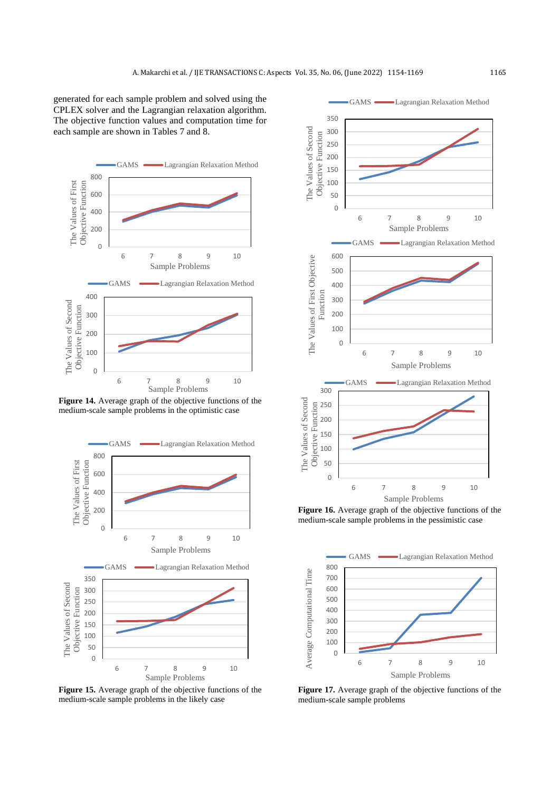generated for each sample problem and solved using the CPLEX solver and the Lagrangian relaxation algorithm. The objective function values and computation time for each sample are shown in Tables 7 and 8.



Figure 14. Average graph of the objective functions of the medium-scale sample problems in the optimistic case



**Figure 15.** Average graph of the objective functions of the medium-scale sample problems in the likely case



Figure 16. Average graph of the objective functions of the medium-scale sample problems in the pessimistic case



**Figure 17.** Average graph of the objective functions of the medium-scale sample problems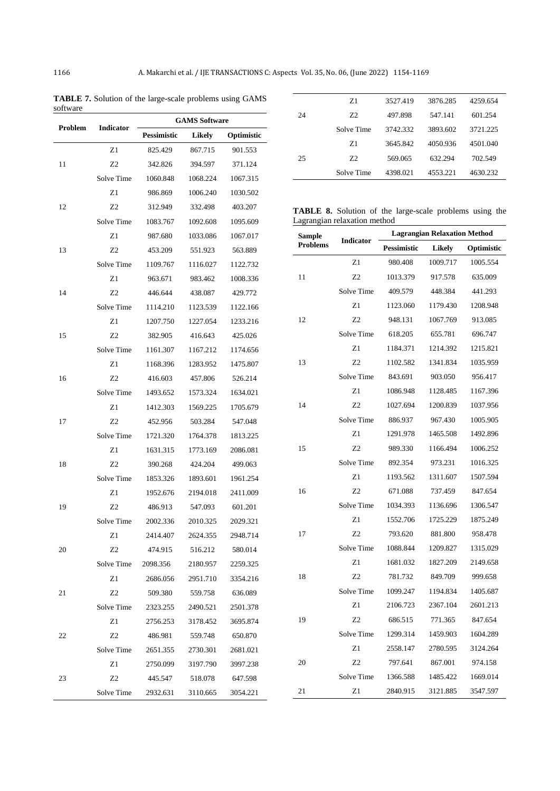**TABLE 7.** Solution of the large-scale problems using GAMS software

| Problem | <b>Indicator</b> |                    | <b>GAMS Software</b> |            |
|---------|------------------|--------------------|----------------------|------------|
|         |                  | <b>Pessimistic</b> | Likely               | Optimistic |
|         | Z1               | 825.429            | 867.715              | 901.553    |
| 11      | Z2               | 342.826            | 394.597              | 371.124    |
|         | Solve Time       | 1060.848           | 1068.224             | 1067.315   |
|         | Z1               | 986.869            | 1006.240             | 1030.502   |
| 12      | Z2               | 312.949            | 332.498              | 403.207    |
|         | Solve Time       | 1083.767           | 1092.608             | 1095.609   |
|         | Z1               | 987.680            | 1033.086             | 1067.017   |
| 13      | Z2               | 453.209            | 551.923              | 563.889    |
|         | Solve Time       | 1109.767           | 1116.027             | 1122.732   |
|         | Z1               | 963.671            | 983.462              | 1008.336   |
| 14      | Z2               | 446.644            | 438.087              | 429.772    |
|         | Solve Time       | 1114.210           | 1123.539             | 1122.166   |
|         | Z1               | 1207.750           | 1227.054             | 1233.216   |
| 15      | Z2               | 382.905            | 416.643              | 425.026    |
|         | Solve Time       | 1161.307           | 1167.212             | 1174.656   |
|         | Z1               | 1168.396           | 1283.952             | 1475.807   |
| 16      | Z2               | 416.603            | 457.806              | 526.214    |
|         | Solve Time       | 1493.652           | 1573.324             | 1634.021   |
|         | Z1               | 1412.303           | 1569.225             | 1705.679   |
| 17      | Z2               | 452.956            | 503.284              | 547.048    |
|         | Solve Time       | 1721.320           | 1764.378             | 1813.225   |
|         | Z1               | 1631.315           | 1773.169             | 2086.081   |
| 18      | Z2               | 390.268            | 424.204              | 499.063    |
|         | Solve Time       | 1853.326           | 1893.601             | 1961.254   |
|         | Z1               | 1952.676           | 2194.018             | 2411.009   |
| 19      | Z2               | 486.913            | 547.093              | 601.201    |
|         | Solve Time       | 2002.336           | 2010.325             | 2029.321   |
|         | Z1               | 2414.407           | 2624.355             | 2948.714   |
| 20      | Z2               | 474.915            | 516.212              | 580.014    |
|         | Solve Time       | 2098.356           | 2180.957             | 2259.325   |
|         | Z1               | 2686.056           | 2951.710             | 3354.216   |
| 21      | Z2               | 509.380            | 559.758              | 636.089    |
|         | Solve Time       | 2323.255           | 2490.521             | 2501.378   |
|         | Z1               | 2756.253           | 3178.452             | 3695.874   |
| 22      | Z2               | 486.981            | 559.748              | 650.870    |
|         | Solve Time       | 2651.355           | 2730.301             | 2681.021   |
|         | Z1               | 2750.099           | 3197.790             | 3997.238   |
| 23      | Z2               | 445.547            | 518.078              | 647.598    |
|         | Solve Time       | 2932.631           | 3110.665             | 3054.221   |
|         |                  |                    |                      |            |

| 24 | Z1         | 3527.419 | 3876.285 | 4259.654 |
|----|------------|----------|----------|----------|
|    | 72         | 497.898  | 547.141  | 601.254  |
|    | Solve Time | 3742.332 | 3893.602 | 3721.225 |
|    | Z1         | 3645.842 | 4050.936 | 4501.040 |
| 25 | 72         | 569.065  | 632.294  | 702.549  |
|    | Solve Time | 4398.021 | 4553.221 | 4630.232 |
|    |            |          |          |          |

**TABLE 8.** Solution of the large-scale problems using the Lagrangian relaxation method

| Sample          | <b>Indicator</b> | <b>Lagrangian Relaxation Method</b> |          |            |
|-----------------|------------------|-------------------------------------|----------|------------|
| <b>Problems</b> |                  | Pessimistic                         | Likely   | Optimistic |
|                 | Z1               | 980.408                             | 1009.717 | 1005.554   |
| 11              | Z <sub>2</sub>   | 1013.379                            | 917.578  | 635.009    |
|                 | Solve Time       | 409.579                             | 448.384  | 441.293    |
|                 | Z1               | 1123.060                            | 1179.430 | 1208.948   |
| 12              | Z <sub>2</sub>   | 948.131                             | 1067.769 | 913.085    |
|                 | Solve Time       | 618.205                             | 655.781  | 696.747    |
|                 | Z1               | 1184.371                            | 1214.392 | 1215.821   |
| 13              | Z <sub>2</sub>   | 1102.582                            | 1341.834 | 1035.959   |
|                 | Solve Time       | 843.691                             | 903.050  | 956.417    |
|                 | Z1               | 1086.948                            | 1128.485 | 1167.396   |
| 14              | Z <sub>2</sub>   | 1027.694                            | 1200.839 | 1037.956   |
|                 | Solve Time       | 886.937                             | 967.430  | 1005.905   |
|                 | Z1               | 1291.978                            | 1465.508 | 1492.896   |
| 15              | Z2               | 989.330                             | 1166.494 | 1006.252   |
|                 | Solve Time       | 892.354                             | 973.231  | 1016.325   |
|                 | Z1               | 1193.562                            | 1311.607 | 1507.594   |
| 16              | Z <sub>2</sub>   | 671.088                             | 737.459  | 847.654    |
|                 | Solve Time       | 1034.393                            | 1136.696 | 1306.547   |
|                 | Z1               | 1552.706                            | 1725.229 | 1875.249   |
| 17              | Z <sub>2</sub>   | 793.620                             | 881.800  | 958.478    |
|                 | Solve Time       | 1088.844                            | 1209.827 | 1315.029   |
|                 | Z1               | 1681.032                            | 1827.209 | 2149.658   |
| 18              | Z <sub>2</sub>   | 781.732                             | 849.709  | 999.658    |
|                 | Solve Time       | 1099.247                            | 1194.834 | 1405.687   |
|                 | Z1               | 2106.723                            | 2367.104 | 2601.213   |
| 19              | Z <sub>2</sub>   | 686.515                             | 771.365  | 847.654    |
|                 | Solve Time       | 1299.314                            | 1459.903 | 1604.289   |
|                 | Z1               | 2558.147                            | 2780.595 | 3124.264   |
| 20              | Z2               | 797.641                             | 867.001  | 974.158    |
|                 | Solve Time       | 1366.588                            | 1485.422 | 1669.014   |
| 21              | Z1               | 2840.915                            | 3121.885 | 3547.597   |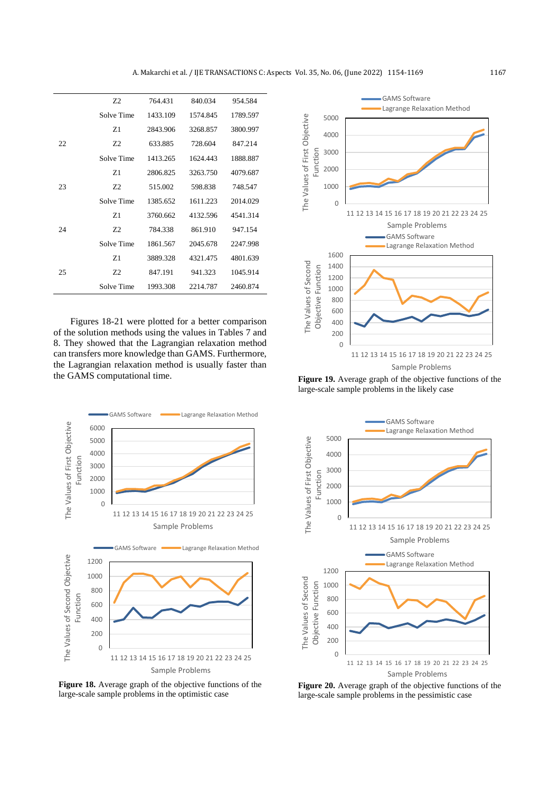|     | Z <sub>2</sub> | 764.431  | 840.034  | 954.584  |
|-----|----------------|----------|----------|----------|
|     | Solve Time     | 1433.109 | 1574.845 | 1789.597 |
|     | Z <sub>1</sub> | 2843.906 | 3268.857 | 3800.997 |
| 22. | 72             | 633.885  | 728.604  | 847.214  |
|     | Solve Time     | 1413.265 | 1624.443 | 1888.887 |
|     | Z <sub>1</sub> | 2806.825 | 3263.750 | 4079.687 |
| 23  | Z2             | 515.002  | 598.838  | 748.547  |
|     | Solve Time     | 1385.652 | 1611.223 | 2014.029 |
|     | Z <sub>1</sub> | 3760.662 | 4132.596 | 4541.314 |
| 24  | 72             | 784.338  | 861.910  | 947.154  |
|     | Solve Time     | 1861.567 | 2045.678 | 2247.998 |
|     | Z <sub>1</sub> | 3889.328 | 4321.475 | 4801.639 |
| 25  | Z2             | 847.191  | 941.323  | 1045.914 |
|     | Solve Time     | 1993.308 | 2214.787 | 2460.874 |

Figures 18-21 were plotted for a better comparison of the solution methods using the values in Tables 7 and 8. They showed that the Lagrangian relaxation method can transfers more knowledge than GAMS. Furthermore, the Lagrangian relaxation method is usually faster than the GAMS computational time.



**Figure 18.** Average graph of the objective functions of the large-scale sample problems in the optimistic case



**Figure 19.** Average graph of the objective functions of the large-scale sample problems in the likely case



**Figure 20.** Average graph of the objective functions of the large-scale sample problems in the pessimistic case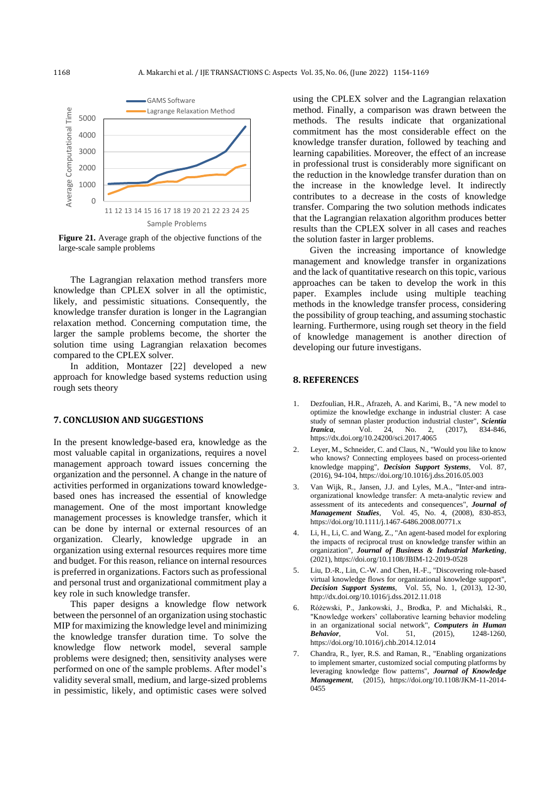

Figure 21. Average graph of the objective functions of the large-scale sample problems

The Lagrangian relaxation method transfers more knowledge than CPLEX solver in all the optimistic, likely, and pessimistic situations. Consequently, the knowledge transfer duration is longer in the Lagrangian relaxation method. Concerning computation time, the larger the sample problems become, the shorter the solution time using Lagrangian relaxation becomes compared to the CPLEX solver.

In addition, Montazer [\[22\]](#page-15-14) developed a new approach for knowledge based systems reduction using rough sets theory

## **7. CONCLUSION AND SUGGESTIONS**

In the present knowledge-based era, knowledge as the most valuable capital in organizations, requires a novel management approach toward issues concerning the organization and the personnel. A change in the nature of activities performed in organizations toward knowledgebased ones has increased the essential of knowledge management. One of the most important knowledge management processes is knowledge transfer, which it can be done by internal or external resources of an organization. Clearly, knowledge upgrade in an organization using external resources requires more time and budget. For this reason, reliance on internal resources is preferred in organizations. Factors such as professional and personal trust and organizational commitment play a key role in such knowledge transfer.

This paper designs a knowledge flow network between the personnel of an organization using stochastic MIP for maximizing the knowledge level and minimizing the knowledge transfer duration time. To solve the knowledge flow network model, several sample problems were designed; then, sensitivity analyses were performed on one of the sample problems. After model's validity several small, medium, and large-sized problems in pessimistic, likely, and optimistic cases were solved

using the CPLEX solver and the Lagrangian relaxation method. Finally, a comparison was drawn between the methods. The results indicate that organizational commitment has the most considerable effect on the knowledge transfer duration, followed by teaching and learning capabilities. Moreover, the effect of an increase in professional trust is considerably more significant on the reduction in the knowledge transfer duration than on the increase in the knowledge level. It indirectly contributes to a decrease in the costs of knowledge transfer. Comparing the two solution methods indicates that the Lagrangian relaxation algorithm produces better results than the CPLEX solver in all cases and reaches the solution faster in larger problems.

Given the increasing importance of knowledge management and knowledge transfer in organizations and the lack of quantitative research on this topic, various approaches can be taken to develop the work in this paper. Examples include using multiple teaching methods in the knowledge transfer process, considering the possibility of group teaching, and assuming stochastic learning. Furthermore, using rough set theory in the field of knowledge management is another direction of developing our future investigans.

## **8. REFERENCES**

- <span id="page-14-0"></span>1. Dezfoulian, H.R., Afrazeh, A. and Karimi, B., "A new model to optimize the knowledge exchange in industrial cluster: A case study of semnan plaster production industrial cluster", *Scientia Iranica*, Vol. 24, No. 2, (2017), 834-846, <https://dx.doi.org/10.24200/sci.2017.4065>
- <span id="page-14-1"></span>2. Leyer, M., Schneider, C. and Claus, N., "Would you like to know who knows? Connecting employees based on process-oriented knowledge mapping", *Decision Support Systems*, Vol. 87, (2016), 94-104[, https://doi.org/10.1016/j.dss.2016.05.003](https://doi.org/10.1016/j.dss.2016.05.003)
- <span id="page-14-2"></span>3. Van Wijk, R., Jansen, J.J. and Lyles, M.A., "Inter‐and intra‐ organizational knowledge transfer: A meta‐analytic review and assessment of its antecedents and consequences", *Journal of Management Studies*, Vol. 45, No. 4, (2008), 830-853, <https://doi.org/10.1111/j.1467-6486.2008.00771.x>
- <span id="page-14-3"></span>4. Li, H., Li, C. and Wang, Z., "An agent-based model for exploring the impacts of reciprocal trust on knowledge transfer within an organization", *Journal of Business & Industrial Marketing*, (2021)[, https://doi.org/10.1108/JBIM-12-2019-0528](https://doi.org/10.1108/JBIM-12-2019-0528)
- <span id="page-14-4"></span>5. Liu, D.-R., Lin, C.-W. and Chen, H.-F., "Discovering role-based virtual knowledge flows for organizational knowledge support", *Decision Support Systems*, Vol. 55, No. 1, (2013), 12-30, <http://dx.doi.org/10.1016/j.dss.2012.11.018>
- <span id="page-14-5"></span>6. Różewski, P., Jankowski, J., Brodka, P. and Michalski, R., "Knowledge workers' collaborative learning behavior modeling in an organizational social network", *Computers in Human Behavior*, Vol. 51, (2015), 1248-1260, <https://doi.org/10.1016/j.chb.2014.12.014>
- <span id="page-14-6"></span>7. Chandra, R., Iyer, R.S. and Raman, R., "Enabling organizations to implement smarter, customized social computing platforms by leveraging knowledge flow patterns", *Journal of Knowledge Management*, (2015), [https://doi.org/10.1108/JKM-11-2014-](https://doi.org/10.1108/JKM-11-2014-0455) [0455](https://doi.org/10.1108/JKM-11-2014-0455)